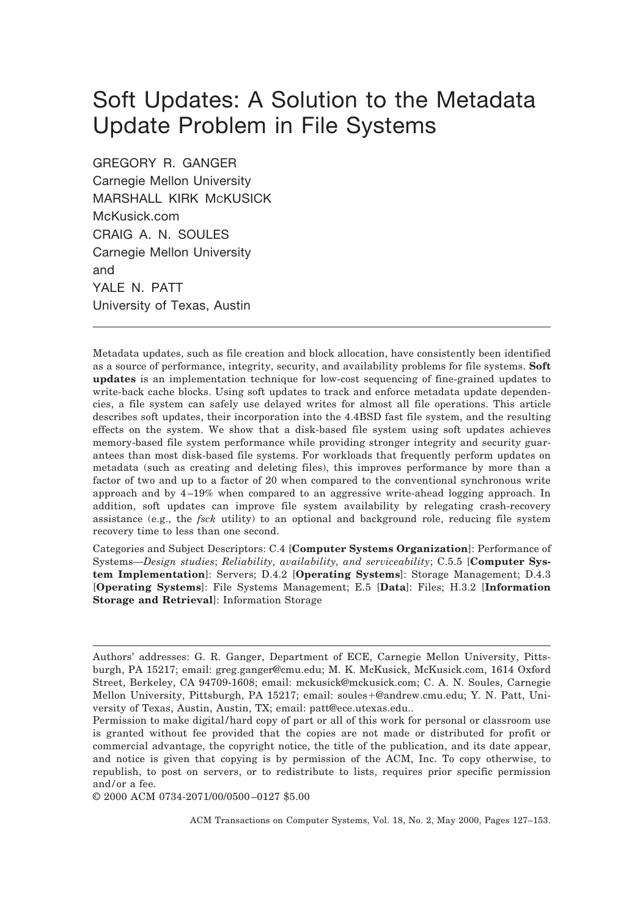# Soft Updates: A Solution to the Metadata Update Problem in File Systems

GREGORY R. GANGER Carnegie Mellon University MARSHALL KIRK MCKUSICK McKusick.com CRAIG A. N. SOULES Carnegie Mellon University and YALE N. PATT University of Texas, Austin

Metadata updates, such as file creation and block allocation, have consistently been identified as a source of performance, integrity, security, and availability problems for file systems. **Soft updates** is an implementation technique for low-cost sequencing of fine-grained updates to write-back cache blocks. Using soft updates to track and enforce metadata update dependencies, a file system can safely use delayed writes for almost all file operations. This article describes soft updates, their incorporation into the 4.4BSD fast file system, and the resulting effects on the system. We show that a disk-based file system using soft updates achieves memory-based file system performance while providing stronger integrity and security guarantees than most disk-based file systems. For workloads that frequently perform updates on metadata (such as creating and deleting files), this improves performance by more than a factor of two and up to a factor of 20 when compared to the conventional synchronous write approach and by 4–19% when compared to an aggressive write-ahead logging approach. In addition, soft updates can improve file system availability by relegating crash-recovery assistance (e.g., the *fsck* utility) to an optional and background role, reducing file system recovery time to less than one second.

Categories and Subject Descriptors: C.4 [**Computer Systems Organization**]: Performance of Systems—*Design studies*; *Reliability, availability, and serviceability*; C.5.5 [**Computer System Implementation**]: Servers; D.4.2 [**Operating Systems**]: Storage Management; D.4.3 [**Operating Systems**]: File Systems Management; E.5 [**Data**]: Files; H.3.2 [**Information Storage and Retrieval**]: Information Storage

© 2000 ACM 0734-2071/00/0500–0127 \$5.00

ACM Transactions on Computer Systems, Vol. 18, No. 2, May 2000, Pages 127–153.

Authors' addresses: G. R. Ganger, Department of ECE, Carnegie Mellon University, Pittsburgh, PA 15217; email: greg.ganger@cmu.edu; M. K. McKusick, McKusick.com, 1614 Oxford Street, Berkeley, CA 94709-1608; email: mckusick@mckusick.com; C. A. N. Soules, Carnegie Mellon University, Pittsburgh, PA 15217; email: soules+@andrew.cmu.edu; Y. N. Patt, University of Texas, Austin, Austin, TX; email: patt@ece.utexas.edu..

Permission to make digital/hard copy of part or all of this work for personal or classroom use is granted without fee provided that the copies are not made or distributed for profit or commercial advantage, the copyright notice, the title of the publication, and its date appear, and notice is given that copying is by permission of the ACM, Inc. To copy otherwise, to republish, to post on servers, or to redistribute to lists, requires prior specific permission and/or a fee.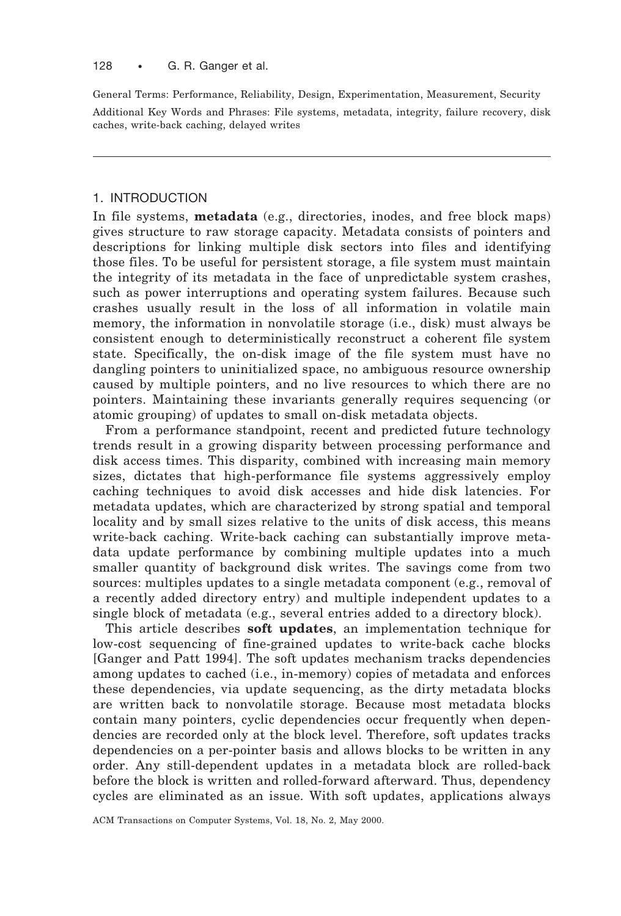#### 128 • G. R. Ganger et al.

General Terms: Performance, Reliability, Design, Experimentation, Measurement, Security Additional Key Words and Phrases: File systems, metadata, integrity, failure recovery, disk caches, write-back caching, delayed writes

#### 1. INTRODUCTION

In file systems, **metadata** (e.g., directories, inodes, and free block maps) gives structure to raw storage capacity. Metadata consists of pointers and descriptions for linking multiple disk sectors into files and identifying those files. To be useful for persistent storage, a file system must maintain the integrity of its metadata in the face of unpredictable system crashes, such as power interruptions and operating system failures. Because such crashes usually result in the loss of all information in volatile main memory, the information in nonvolatile storage (i.e., disk) must always be consistent enough to deterministically reconstruct a coherent file system state. Specifically, the on-disk image of the file system must have no dangling pointers to uninitialized space, no ambiguous resource ownership caused by multiple pointers, and no live resources to which there are no pointers. Maintaining these invariants generally requires sequencing (or atomic grouping) of updates to small on-disk metadata objects.

From a performance standpoint, recent and predicted future technology trends result in a growing disparity between processing performance and disk access times. This disparity, combined with increasing main memory sizes, dictates that high-performance file systems aggressively employ caching techniques to avoid disk accesses and hide disk latencies. For metadata updates, which are characterized by strong spatial and temporal locality and by small sizes relative to the units of disk access, this means write-back caching. Write-back caching can substantially improve metadata update performance by combining multiple updates into a much smaller quantity of background disk writes. The savings come from two sources: multiples updates to a single metadata component (e.g., removal of a recently added directory entry) and multiple independent updates to a single block of metadata (e.g., several entries added to a directory block).

This article describes **soft updates**, an implementation technique for low-cost sequencing of fine-grained updates to write-back cache blocks [Ganger and Patt 1994]. The soft updates mechanism tracks dependencies among updates to cached (i.e., in-memory) copies of metadata and enforces these dependencies, via update sequencing, as the dirty metadata blocks are written back to nonvolatile storage. Because most metadata blocks contain many pointers, cyclic dependencies occur frequently when dependencies are recorded only at the block level. Therefore, soft updates tracks dependencies on a per-pointer basis and allows blocks to be written in any order. Any still-dependent updates in a metadata block are rolled-back before the block is written and rolled-forward afterward. Thus, dependency cycles are eliminated as an issue. With soft updates, applications always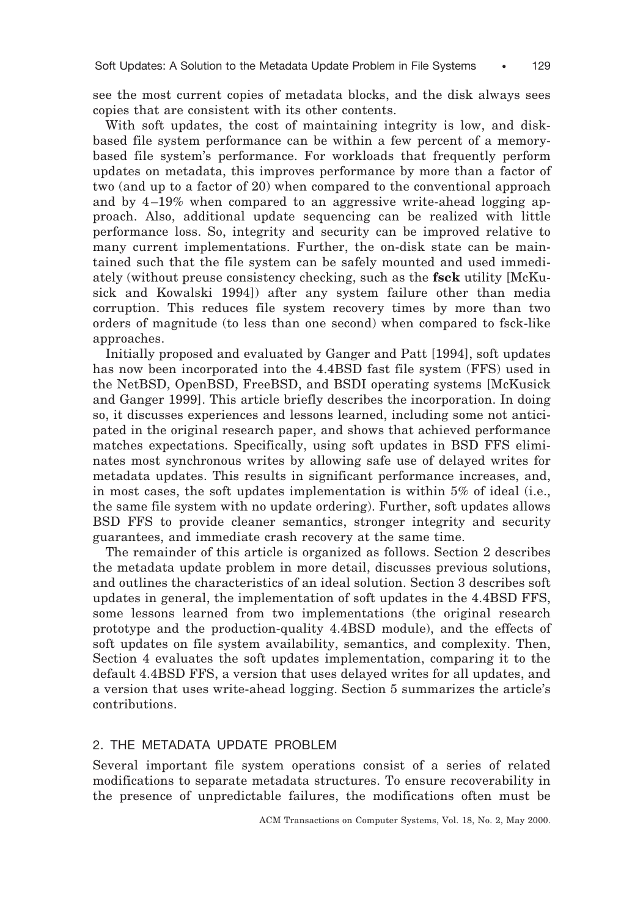see the most current copies of metadata blocks, and the disk always sees copies that are consistent with its other contents.

With soft updates, the cost of maintaining integrity is low, and diskbased file system performance can be within a few percent of a memorybased file system's performance. For workloads that frequently perform updates on metadata, this improves performance by more than a factor of two (and up to a factor of 20) when compared to the conventional approach and by 4–19% when compared to an aggressive write-ahead logging approach. Also, additional update sequencing can be realized with little performance loss. So, integrity and security can be improved relative to many current implementations. Further, the on-disk state can be maintained such that the file system can be safely mounted and used immediately (without preuse consistency checking, such as the **fsck** utility [McKusick and Kowalski 1994]) after any system failure other than media corruption. This reduces file system recovery times by more than two orders of magnitude (to less than one second) when compared to fsck-like approaches.

Initially proposed and evaluated by Ganger and Patt [1994], soft updates has now been incorporated into the 4.4BSD fast file system (FFS) used in the NetBSD, OpenBSD, FreeBSD, and BSDI operating systems [McKusick and Ganger 1999]. This article briefly describes the incorporation. In doing so, it discusses experiences and lessons learned, including some not anticipated in the original research paper, and shows that achieved performance matches expectations. Specifically, using soft updates in BSD FFS eliminates most synchronous writes by allowing safe use of delayed writes for metadata updates. This results in significant performance increases, and, in most cases, the soft updates implementation is within 5% of ideal (i.e., the same file system with no update ordering). Further, soft updates allows BSD FFS to provide cleaner semantics, stronger integrity and security guarantees, and immediate crash recovery at the same time.

The remainder of this article is organized as follows. Section 2 describes the metadata update problem in more detail, discusses previous solutions, and outlines the characteristics of an ideal solution. Section 3 describes soft updates in general, the implementation of soft updates in the 4.4BSD FFS, some lessons learned from two implementations (the original research prototype and the production-quality 4.4BSD module), and the effects of soft updates on file system availability, semantics, and complexity. Then, Section 4 evaluates the soft updates implementation, comparing it to the default 4.4BSD FFS, a version that uses delayed writes for all updates, and a version that uses write-ahead logging. Section 5 summarizes the article's contributions.

#### 2. THE METADATA UPDATE PROBLEM

Several important file system operations consist of a series of related modifications to separate metadata structures. To ensure recoverability in the presence of unpredictable failures, the modifications often must be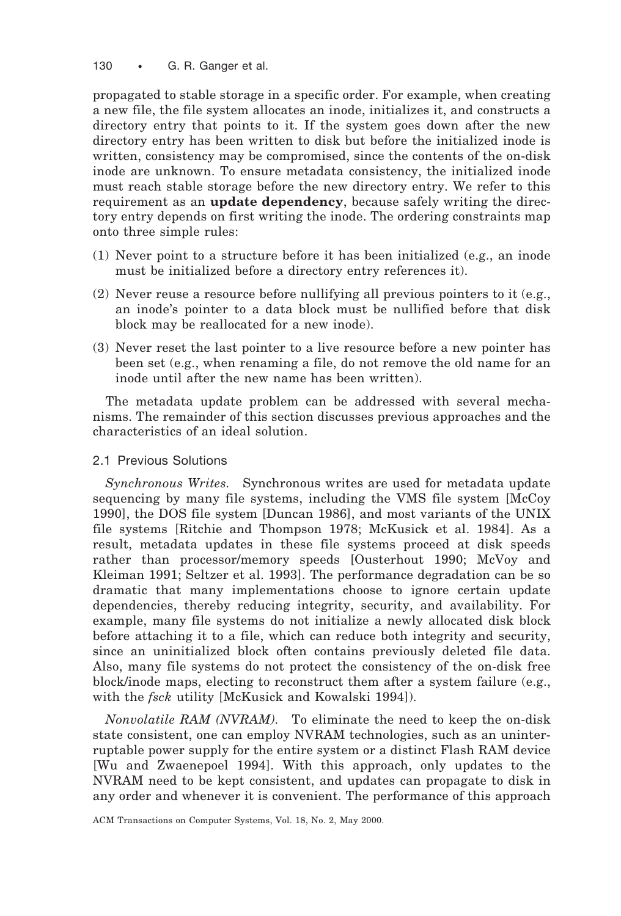propagated to stable storage in a specific order. For example, when creating a new file, the file system allocates an inode, initializes it, and constructs a directory entry that points to it. If the system goes down after the new directory entry has been written to disk but before the initialized inode is written, consistency may be compromised, since the contents of the on-disk inode are unknown. To ensure metadata consistency, the initialized inode must reach stable storage before the new directory entry. We refer to this requirement as an **update dependency**, because safely writing the directory entry depends on first writing the inode. The ordering constraints map onto three simple rules:

- (1) Never point to a structure before it has been initialized (e.g., an inode must be initialized before a directory entry references it).
- (2) Never reuse a resource before nullifying all previous pointers to it (e.g., an inode's pointer to a data block must be nullified before that disk block may be reallocated for a new inode).
- (3) Never reset the last pointer to a live resource before a new pointer has been set (e.g., when renaming a file, do not remove the old name for an inode until after the new name has been written).

The metadata update problem can be addressed with several mechanisms. The remainder of this section discusses previous approaches and the characteristics of an ideal solution.

## 2.1 Previous Solutions

*Synchronous Writes.* Synchronous writes are used for metadata update sequencing by many file systems, including the VMS file system [McCoy 1990], the DOS file system [Duncan 1986], and most variants of the UNIX file systems [Ritchie and Thompson 1978; McKusick et al. 1984]. As a result, metadata updates in these file systems proceed at disk speeds rather than processor/memory speeds [Ousterhout 1990; McVoy and Kleiman 1991; Seltzer et al. 1993]. The performance degradation can be so dramatic that many implementations choose to ignore certain update dependencies, thereby reducing integrity, security, and availability. For example, many file systems do not initialize a newly allocated disk block before attaching it to a file, which can reduce both integrity and security, since an uninitialized block often contains previously deleted file data. Also, many file systems do not protect the consistency of the on-disk free block/inode maps, electing to reconstruct them after a system failure (e.g., with the *fsck* utility [McKusick and Kowalski 1994]).

*Nonvolatile RAM (NVRAM).* To eliminate the need to keep the on-disk state consistent, one can employ NVRAM technologies, such as an uninterruptable power supply for the entire system or a distinct Flash RAM device [Wu and Zwaenepoel 1994]. With this approach, only updates to the NVRAM need to be kept consistent, and updates can propagate to disk in any order and whenever it is convenient. The performance of this approach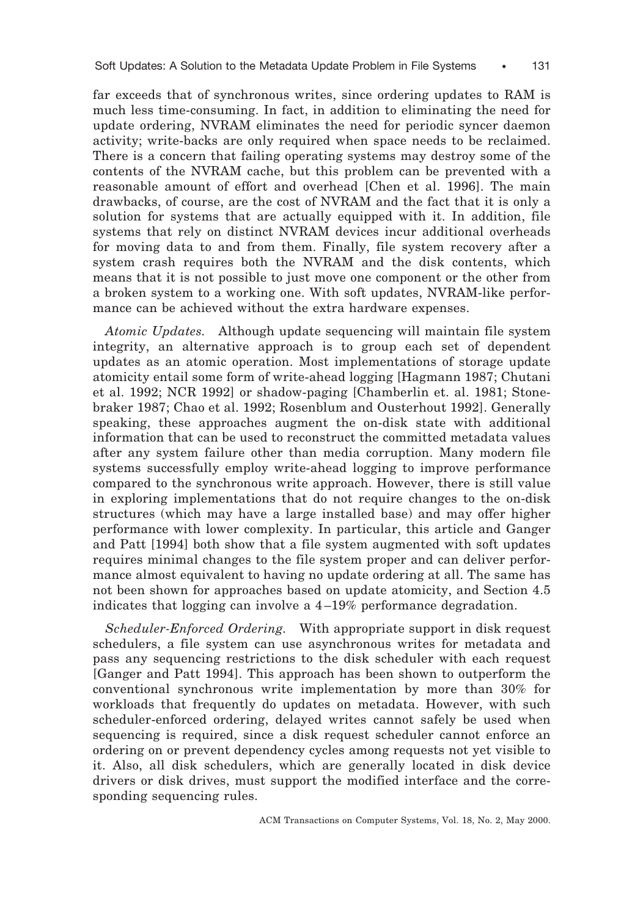far exceeds that of synchronous writes, since ordering updates to RAM is much less time-consuming. In fact, in addition to eliminating the need for update ordering, NVRAM eliminates the need for periodic syncer daemon activity; write-backs are only required when space needs to be reclaimed. There is a concern that failing operating systems may destroy some of the contents of the NVRAM cache, but this problem can be prevented with a reasonable amount of effort and overhead [Chen et al. 1996]. The main drawbacks, of course, are the cost of NVRAM and the fact that it is only a solution for systems that are actually equipped with it. In addition, file systems that rely on distinct NVRAM devices incur additional overheads for moving data to and from them. Finally, file system recovery after a system crash requires both the NVRAM and the disk contents, which means that it is not possible to just move one component or the other from a broken system to a working one. With soft updates, NVRAM-like performance can be achieved without the extra hardware expenses.

*Atomic Updates.* Although update sequencing will maintain file system integrity, an alternative approach is to group each set of dependent updates as an atomic operation. Most implementations of storage update atomicity entail some form of write-ahead logging [Hagmann 1987; Chutani et al. 1992; NCR 1992] or shadow-paging [Chamberlin et. al. 1981; Stonebraker 1987; Chao et al. 1992; Rosenblum and Ousterhout 1992]. Generally speaking, these approaches augment the on-disk state with additional information that can be used to reconstruct the committed metadata values after any system failure other than media corruption. Many modern file systems successfully employ write-ahead logging to improve performance compared to the synchronous write approach. However, there is still value in exploring implementations that do not require changes to the on-disk structures (which may have a large installed base) and may offer higher performance with lower complexity. In particular, this article and Ganger and Patt [1994] both show that a file system augmented with soft updates requires minimal changes to the file system proper and can deliver performance almost equivalent to having no update ordering at all. The same has not been shown for approaches based on update atomicity, and Section 4.5 indicates that logging can involve a 4–19% performance degradation.

*Scheduler-Enforced Ordering.* With appropriate support in disk request schedulers, a file system can use asynchronous writes for metadata and pass any sequencing restrictions to the disk scheduler with each request [Ganger and Patt 1994]. This approach has been shown to outperform the conventional synchronous write implementation by more than 30% for workloads that frequently do updates on metadata. However, with such scheduler-enforced ordering, delayed writes cannot safely be used when sequencing is required, since a disk request scheduler cannot enforce an ordering on or prevent dependency cycles among requests not yet visible to it. Also, all disk schedulers, which are generally located in disk device drivers or disk drives, must support the modified interface and the corresponding sequencing rules.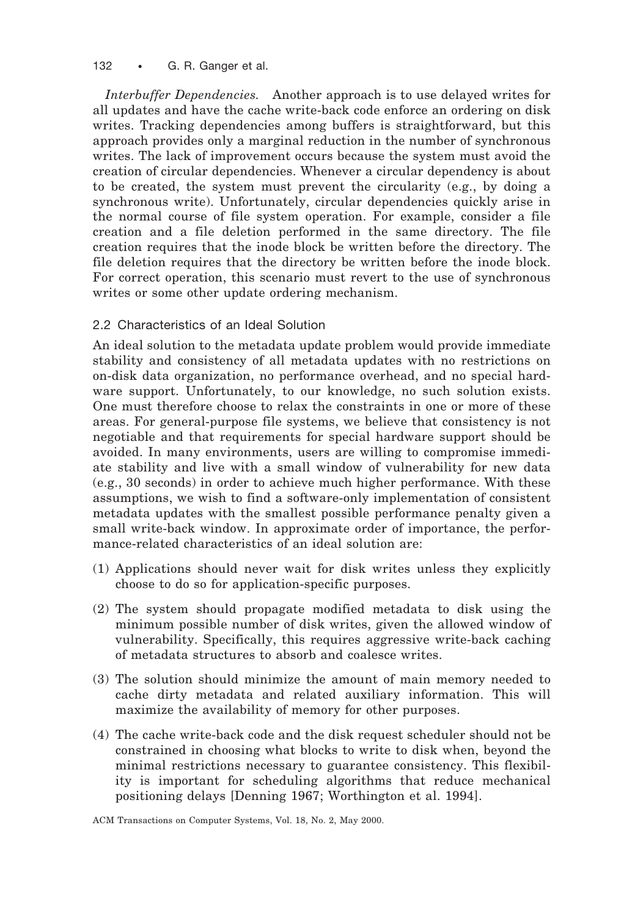#### 132 • G. R. Ganger et al.

*Interbuffer Dependencies.* Another approach is to use delayed writes for all updates and have the cache write-back code enforce an ordering on disk writes. Tracking dependencies among buffers is straightforward, but this approach provides only a marginal reduction in the number of synchronous writes. The lack of improvement occurs because the system must avoid the creation of circular dependencies. Whenever a circular dependency is about to be created, the system must prevent the circularity (e.g., by doing a synchronous write). Unfortunately, circular dependencies quickly arise in the normal course of file system operation. For example, consider a file creation and a file deletion performed in the same directory. The file creation requires that the inode block be written before the directory. The file deletion requires that the directory be written before the inode block. For correct operation, this scenario must revert to the use of synchronous writes or some other update ordering mechanism.

# 2.2 Characteristics of an Ideal Solution

An ideal solution to the metadata update problem would provide immediate stability and consistency of all metadata updates with no restrictions on on-disk data organization, no performance overhead, and no special hardware support. Unfortunately, to our knowledge, no such solution exists. One must therefore choose to relax the constraints in one or more of these areas. For general-purpose file systems, we believe that consistency is not negotiable and that requirements for special hardware support should be avoided. In many environments, users are willing to compromise immediate stability and live with a small window of vulnerability for new data (e.g., 30 seconds) in order to achieve much higher performance. With these assumptions, we wish to find a software-only implementation of consistent metadata updates with the smallest possible performance penalty given a small write-back window. In approximate order of importance, the performance-related characteristics of an ideal solution are:

- (1) Applications should never wait for disk writes unless they explicitly choose to do so for application-specific purposes.
- (2) The system should propagate modified metadata to disk using the minimum possible number of disk writes, given the allowed window of vulnerability. Specifically, this requires aggressive write-back caching of metadata structures to absorb and coalesce writes.
- (3) The solution should minimize the amount of main memory needed to cache dirty metadata and related auxiliary information. This will maximize the availability of memory for other purposes.
- (4) The cache write-back code and the disk request scheduler should not be constrained in choosing what blocks to write to disk when, beyond the minimal restrictions necessary to guarantee consistency. This flexibility is important for scheduling algorithms that reduce mechanical positioning delays [Denning 1967; Worthington et al. 1994].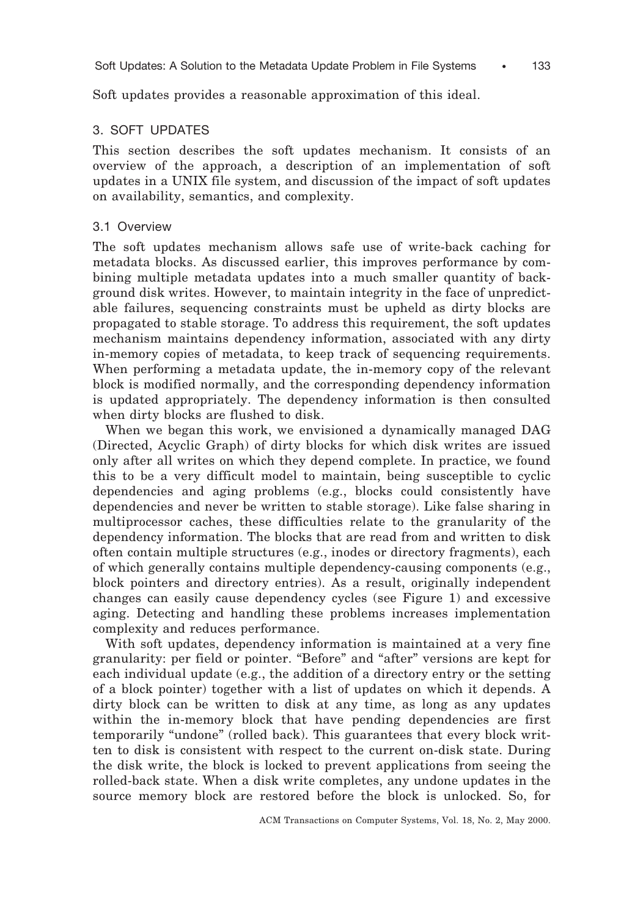Soft updates provides a reasonable approximation of this ideal.

### 3. SOFT UPDATES

This section describes the soft updates mechanism. It consists of an overview of the approach, a description of an implementation of soft updates in a UNIX file system, and discussion of the impact of soft updates on availability, semantics, and complexity.

#### 3.1 Overview

The soft updates mechanism allows safe use of write-back caching for metadata blocks. As discussed earlier, this improves performance by combining multiple metadata updates into a much smaller quantity of background disk writes. However, to maintain integrity in the face of unpredictable failures, sequencing constraints must be upheld as dirty blocks are propagated to stable storage. To address this requirement, the soft updates mechanism maintains dependency information, associated with any dirty in-memory copies of metadata, to keep track of sequencing requirements. When performing a metadata update, the in-memory copy of the relevant block is modified normally, and the corresponding dependency information is updated appropriately. The dependency information is then consulted when dirty blocks are flushed to disk.

When we began this work, we envisioned a dynamically managed DAG (Directed, Acyclic Graph) of dirty blocks for which disk writes are issued only after all writes on which they depend complete. In practice, we found this to be a very difficult model to maintain, being susceptible to cyclic dependencies and aging problems (e.g., blocks could consistently have dependencies and never be written to stable storage). Like false sharing in multiprocessor caches, these difficulties relate to the granularity of the dependency information. The blocks that are read from and written to disk often contain multiple structures (e.g., inodes or directory fragments), each of which generally contains multiple dependency-causing components (e.g., block pointers and directory entries). As a result, originally independent changes can easily cause dependency cycles (see Figure 1) and excessive aging. Detecting and handling these problems increases implementation complexity and reduces performance.

With soft updates, dependency information is maintained at a very fine granularity: per field or pointer. "Before" and "after" versions are kept for each individual update (e.g., the addition of a directory entry or the setting of a block pointer) together with a list of updates on which it depends. A dirty block can be written to disk at any time, as long as any updates within the in-memory block that have pending dependencies are first temporarily "undone" (rolled back). This guarantees that every block written to disk is consistent with respect to the current on-disk state. During the disk write, the block is locked to prevent applications from seeing the rolled-back state. When a disk write completes, any undone updates in the source memory block are restored before the block is unlocked. So, for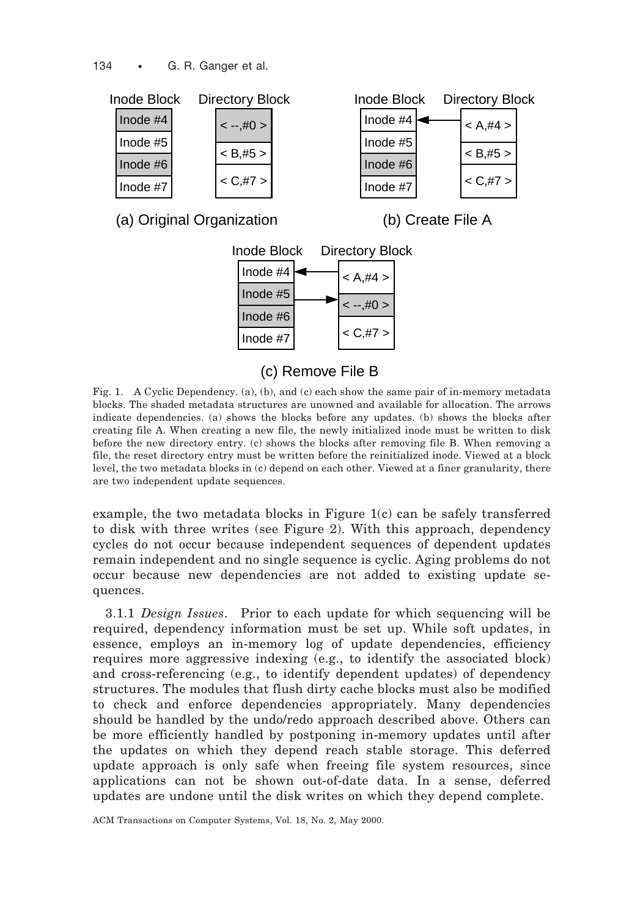



(c) Remove File B

Fig. 1. A Cyclic Dependency. (a), (b), and (c) each show the same pair of in-memory metadata blocks. The shaded metadata structures are unowned and available for allocation. The arrows indicate dependencies. (a) shows the blocks before any updates. (b) shows the blocks after creating file A. When creating a new file, the newly initialized inode must be written to disk before the new directory entry. (c) shows the blocks after removing file B. When removing a file, the reset directory entry must be written before the reinitialized inode. Viewed at a block level, the two metadata blocks in (c) depend on each other. Viewed at a finer granularity, there are two independent update sequences.

example, the two metadata blocks in Figure 1(c) can be safely transferred to disk with three writes (see Figure 2). With this approach, dependency cycles do not occur because independent sequences of dependent updates remain independent and no single sequence is cyclic. Aging problems do not occur because new dependencies are not added to existing update sequences.

3.1.1 *Design Issues*. Prior to each update for which sequencing will be required, dependency information must be set up. While soft updates, in essence, employs an in-memory log of update dependencies, efficiency requires more aggressive indexing (e.g., to identify the associated block) and cross-referencing (e.g., to identify dependent updates) of dependency structures. The modules that flush dirty cache blocks must also be modified to check and enforce dependencies appropriately. Many dependencies should be handled by the undo/redo approach described above. Others can be more efficiently handled by postponing in-memory updates until after the updates on which they depend reach stable storage. This deferred update approach is only safe when freeing file system resources, since applications can not be shown out-of-date data. In a sense, deferred updates are undone until the disk writes on which they depend complete.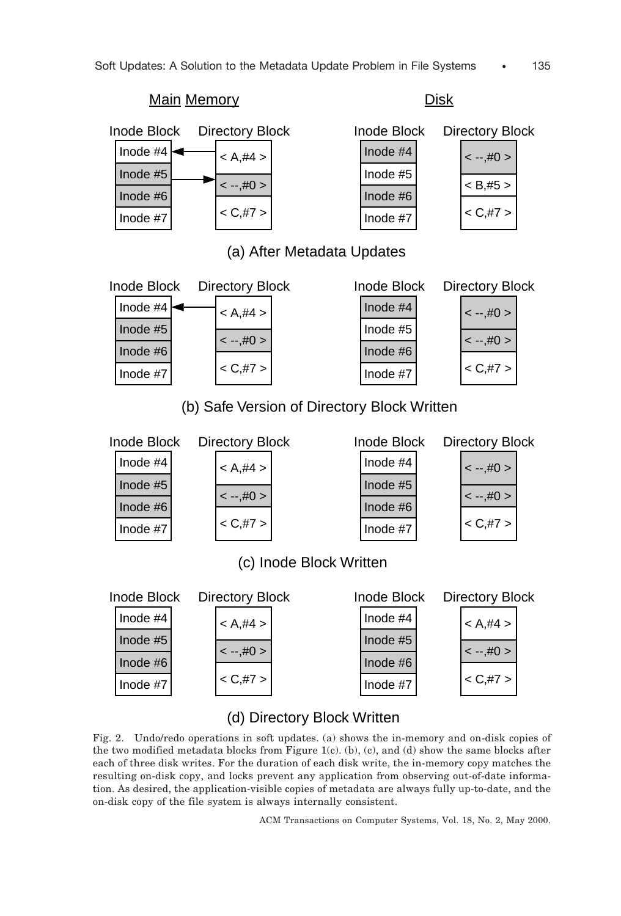# Inode #4 Inode #5 Inode #6 Inode #7 Inode Block Directory Block  $< A, #4 >$  $<$  C,#7  $>$ < --,#0 >

# Main Memory **Disk**

| Inode Block |            | <b>Directory Block</b> |  |                 |  |
|-------------|------------|------------------------|--|-----------------|--|
|             | Inode #4   |                        |  | $\lt$ --,#0 $>$ |  |
|             | Inode $#5$ |                        |  |                 |  |
|             | Inode #6   |                        |  | < B#5 >         |  |
|             | Inode #7   |                        |  | $< C, \#7 >$    |  |

# (a) After Metadata Updates



(b) Safe Version of Directory Block Written

| Inode Block<br><b>Directory Block</b> |                         | Inode Block | Directory Block        |
|---------------------------------------|-------------------------|-------------|------------------------|
| Inode #4                              | $< A, \#4 >$            | Inode #4    | $\leftarrow -, \#0 >$  |
| Inode $#5$                            | $\leftarrow -, \#0 >$   | Inode $#5$  | $\leftarrow -, \#0 >$  |
| Inode $#6$                            |                         | Inode #6    |                        |
| Inode #7                              | < C, #7 >               | Inode $#7$  | $< C, \#7 >$           |
|                                       | (c) Inode Block Written |             |                        |
| Inode Block                           | <b>Directory Block</b>  | Inode Block | <b>Directory Block</b> |
| Inode #4                              | < A, #4 >               | Inode $#4$  | < A, #4 >              |
| Inode $#5$                            | $\leftarrow -, \#0 >$   | Inode $#5$  | $\leftarrow -, \#0 >$  |
| Inode $#6$                            |                         | Inode $#6$  |                        |
| Inode #7                              | $<$ C,#7 $>$            | Inode #7    | $< C, \#7 >$           |

# (d) Directory Block Written

Fig. 2. Undo/redo operations in soft updates. (a) shows the in-memory and on-disk copies of the two modified metadata blocks from Figure 1 $(c)$ . (b),  $(c)$ , and  $(d)$  show the same blocks after each of three disk writes. For the duration of each disk write, the in-memory copy matches the resulting on-disk copy, and locks prevent any application from observing out-of-date information. As desired, the application-visible copies of metadata are always fully up-to-date, and the on-disk copy of the file system is always internally consistent.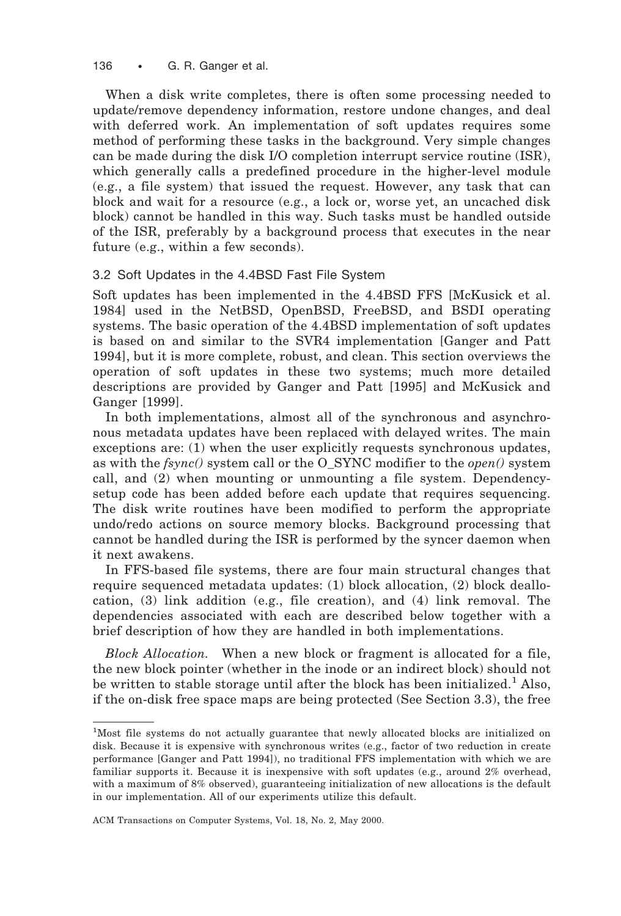136 • G. R. Ganger et al.

When a disk write completes, there is often some processing needed to update/remove dependency information, restore undone changes, and deal with deferred work. An implementation of soft updates requires some method of performing these tasks in the background. Very simple changes can be made during the disk I/O completion interrupt service routine (ISR), which generally calls a predefined procedure in the higher-level module (e.g., a file system) that issued the request. However, any task that can block and wait for a resource (e.g., a lock or, worse yet, an uncached disk block) cannot be handled in this way. Such tasks must be handled outside of the ISR, preferably by a background process that executes in the near future (e.g., within a few seconds).

## 3.2 Soft Updates in the 4.4BSD Fast File System

Soft updates has been implemented in the 4.4BSD FFS [McKusick et al. 1984] used in the NetBSD, OpenBSD, FreeBSD, and BSDI operating systems. The basic operation of the 4.4BSD implementation of soft updates is based on and similar to the SVR4 implementation [Ganger and Patt 1994], but it is more complete, robust, and clean. This section overviews the operation of soft updates in these two systems; much more detailed descriptions are provided by Ganger and Patt [1995] and McKusick and Ganger [1999].

In both implementations, almost all of the synchronous and asynchronous metadata updates have been replaced with delayed writes. The main exceptions are: (1) when the user explicitly requests synchronous updates, as with the *fsync()* system call or the O\_SYNC modifier to the *open()* system call, and (2) when mounting or unmounting a file system. Dependencysetup code has been added before each update that requires sequencing. The disk write routines have been modified to perform the appropriate undo/redo actions on source memory blocks. Background processing that cannot be handled during the ISR is performed by the syncer daemon when it next awakens.

In FFS-based file systems, there are four main structural changes that require sequenced metadata updates: (1) block allocation, (2) block deallocation, (3) link addition (e.g., file creation), and (4) link removal. The dependencies associated with each are described below together with a brief description of how they are handled in both implementations.

*Block Allocation.* When a new block or fragment is allocated for a file, the new block pointer (whether in the inode or an indirect block) should not be written to stable storage until after the block has been initialized.<sup>1</sup> Also, if the on-disk free space maps are being protected (See Section 3.3), the free

<sup>&</sup>lt;sup>1</sup>Most file systems do not actually guarantee that newly allocated blocks are initialized on disk. Because it is expensive with synchronous writes (e.g., factor of two reduction in create performance [Ganger and Patt 1994]), no traditional FFS implementation with which we are familiar supports it. Because it is inexpensive with soft updates (e.g., around 2% overhead, with a maximum of 8% observed), guaranteeing initialization of new allocations is the default in our implementation. All of our experiments utilize this default.

ACM Transactions on Computer Systems, Vol. 18, No. 2, May 2000.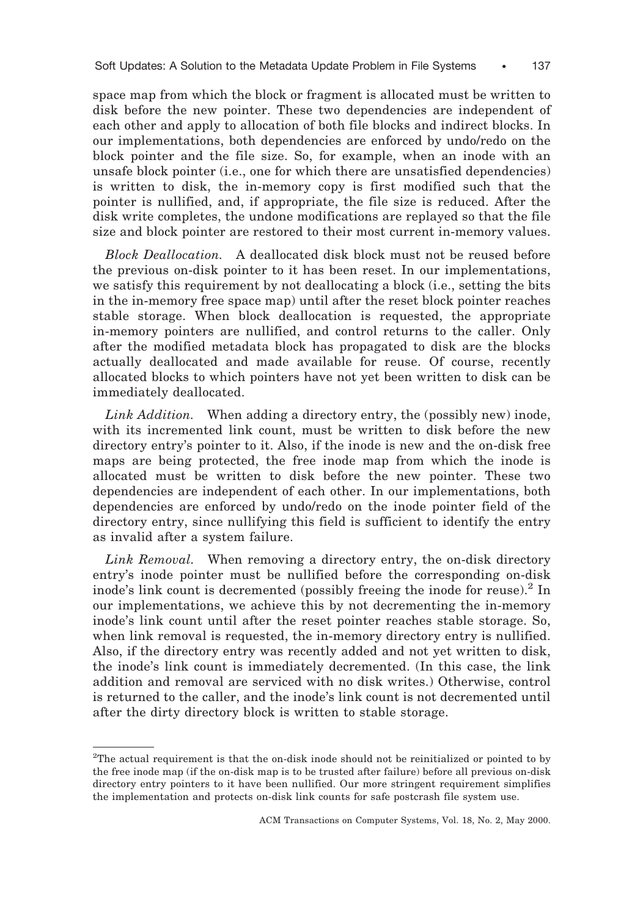space map from which the block or fragment is allocated must be written to disk before the new pointer. These two dependencies are independent of each other and apply to allocation of both file blocks and indirect blocks. In our implementations, both dependencies are enforced by undo/redo on the block pointer and the file size. So, for example, when an inode with an unsafe block pointer (i.e., one for which there are unsatisfied dependencies) is written to disk, the in-memory copy is first modified such that the pointer is nullified, and, if appropriate, the file size is reduced. After the disk write completes, the undone modifications are replayed so that the file size and block pointer are restored to their most current in-memory values.

*Block Deallocation.* A deallocated disk block must not be reused before the previous on-disk pointer to it has been reset. In our implementations, we satisfy this requirement by not deallocating a block (i.e., setting the bits in the in-memory free space map) until after the reset block pointer reaches stable storage. When block deallocation is requested, the appropriate in-memory pointers are nullified, and control returns to the caller. Only after the modified metadata block has propagated to disk are the blocks actually deallocated and made available for reuse. Of course, recently allocated blocks to which pointers have not yet been written to disk can be immediately deallocated.

*Link Addition.* When adding a directory entry, the (possibly new) inode, with its incremented link count, must be written to disk before the new directory entry's pointer to it. Also, if the inode is new and the on-disk free maps are being protected, the free inode map from which the inode is allocated must be written to disk before the new pointer. These two dependencies are independent of each other. In our implementations, both dependencies are enforced by undo/redo on the inode pointer field of the directory entry, since nullifying this field is sufficient to identify the entry as invalid after a system failure.

*Link Removal.* When removing a directory entry, the on-disk directory entry's inode pointer must be nullified before the corresponding on-disk inode's link count is decremented (possibly freeing the inode for reuse).<sup>2</sup> In our implementations, we achieve this by not decrementing the in-memory inode's link count until after the reset pointer reaches stable storage. So, when link removal is requested, the in-memory directory entry is nullified. Also, if the directory entry was recently added and not yet written to disk, the inode's link count is immediately decremented. (In this case, the link addition and removal are serviced with no disk writes.) Otherwise, control is returned to the caller, and the inode's link count is not decremented until after the dirty directory block is written to stable storage.

<sup>&</sup>lt;sup>2</sup>The actual requirement is that the on-disk inode should not be reinitialized or pointed to by the free inode map (if the on-disk map is to be trusted after failure) before all previous on-disk directory entry pointers to it have been nullified. Our more stringent requirement simplifies the implementation and protects on-disk link counts for safe postcrash file system use.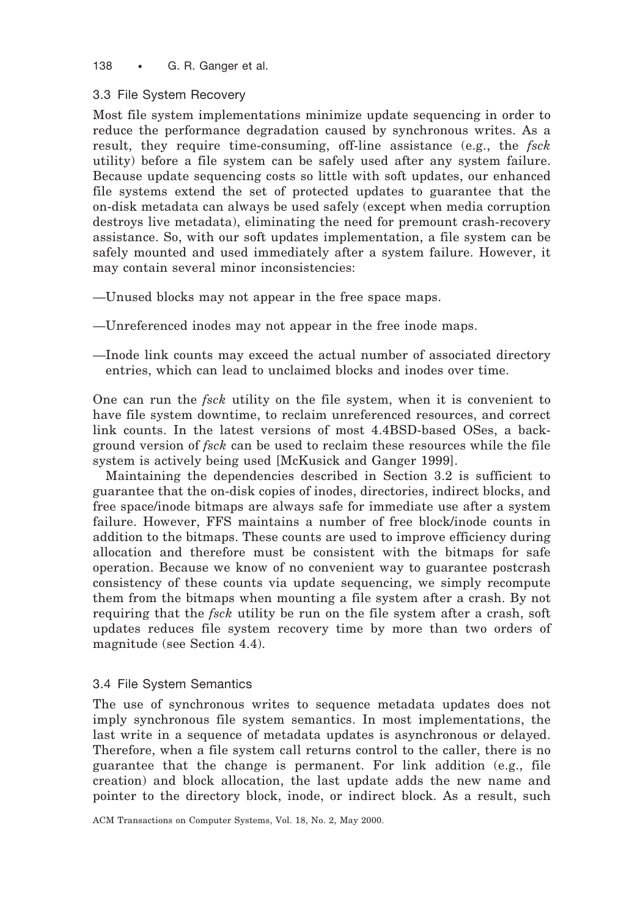#### 138 • G. R. Ganger et al.

# 3.3 File System Recovery

Most file system implementations minimize update sequencing in order to reduce the performance degradation caused by synchronous writes. As a result, they require time-consuming, off-line assistance (e.g., the *fsck* utility) before a file system can be safely used after any system failure. Because update sequencing costs so little with soft updates, our enhanced file systems extend the set of protected updates to guarantee that the on-disk metadata can always be used safely (except when media corruption destroys live metadata), eliminating the need for premount crash-recovery assistance. So, with our soft updates implementation, a file system can be safely mounted and used immediately after a system failure. However, it may contain several minor inconsistencies:

- —Unused blocks may not appear in the free space maps.
- —Unreferenced inodes may not appear in the free inode maps.
- —Inode link counts may exceed the actual number of associated directory entries, which can lead to unclaimed blocks and inodes over time.

One can run the *fsck* utility on the file system, when it is convenient to have file system downtime, to reclaim unreferenced resources, and correct link counts. In the latest versions of most 4.4BSD-based OSes, a background version of *fsck* can be used to reclaim these resources while the file system is actively being used [McKusick and Ganger 1999].

Maintaining the dependencies described in Section 3.2 is sufficient to guarantee that the on-disk copies of inodes, directories, indirect blocks, and free space/inode bitmaps are always safe for immediate use after a system failure. However, FFS maintains a number of free block/inode counts in addition to the bitmaps. These counts are used to improve efficiency during allocation and therefore must be consistent with the bitmaps for safe operation. Because we know of no convenient way to guarantee postcrash consistency of these counts via update sequencing, we simply recompute them from the bitmaps when mounting a file system after a crash. By not requiring that the *fsck* utility be run on the file system after a crash, soft updates reduces file system recovery time by more than two orders of magnitude (see Section 4.4).

# 3.4 File System Semantics

The use of synchronous writes to sequence metadata updates does not imply synchronous file system semantics. In most implementations, the last write in a sequence of metadata updates is asynchronous or delayed. Therefore, when a file system call returns control to the caller, there is no guarantee that the change is permanent. For link addition (e.g., file creation) and block allocation, the last update adds the new name and pointer to the directory block, inode, or indirect block. As a result, such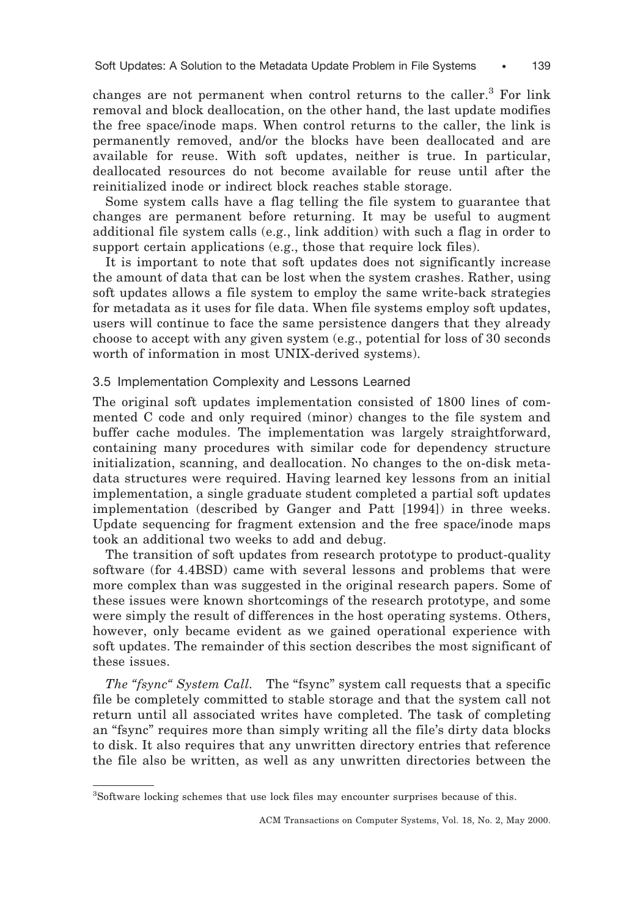changes are not permanent when control returns to the caller.<sup>3</sup> For link removal and block deallocation, on the other hand, the last update modifies the free space/inode maps. When control returns to the caller, the link is permanently removed, and/or the blocks have been deallocated and are available for reuse. With soft updates, neither is true. In particular, deallocated resources do not become available for reuse until after the reinitialized inode or indirect block reaches stable storage.

Some system calls have a flag telling the file system to guarantee that changes are permanent before returning. It may be useful to augment additional file system calls (e.g., link addition) with such a flag in order to support certain applications (e.g., those that require lock files).

It is important to note that soft updates does not significantly increase the amount of data that can be lost when the system crashes. Rather, using soft updates allows a file system to employ the same write-back strategies for metadata as it uses for file data. When file systems employ soft updates, users will continue to face the same persistence dangers that they already choose to accept with any given system (e.g., potential for loss of 30 seconds worth of information in most UNIX-derived systems).

#### 3.5 Implementation Complexity and Lessons Learned

The original soft updates implementation consisted of 1800 lines of commented C code and only required (minor) changes to the file system and buffer cache modules. The implementation was largely straightforward, containing many procedures with similar code for dependency structure initialization, scanning, and deallocation. No changes to the on-disk metadata structures were required. Having learned key lessons from an initial implementation, a single graduate student completed a partial soft updates implementation (described by Ganger and Patt [1994]) in three weeks. Update sequencing for fragment extension and the free space/inode maps took an additional two weeks to add and debug.

The transition of soft updates from research prototype to product-quality software (for 4.4BSD) came with several lessons and problems that were more complex than was suggested in the original research papers. Some of these issues were known shortcomings of the research prototype, and some were simply the result of differences in the host operating systems. Others, however, only became evident as we gained operational experience with soft updates. The remainder of this section describes the most significant of these issues.

*The "fsync" System Call.* The "fsync" system call requests that a specific file be completely committed to stable storage and that the system call not return until all associated writes have completed. The task of completing an "fsync" requires more than simply writing all the file's dirty data blocks to disk. It also requires that any unwritten directory entries that reference the file also be written, as well as any unwritten directories between the

<sup>3</sup> Software locking schemes that use lock files may encounter surprises because of this.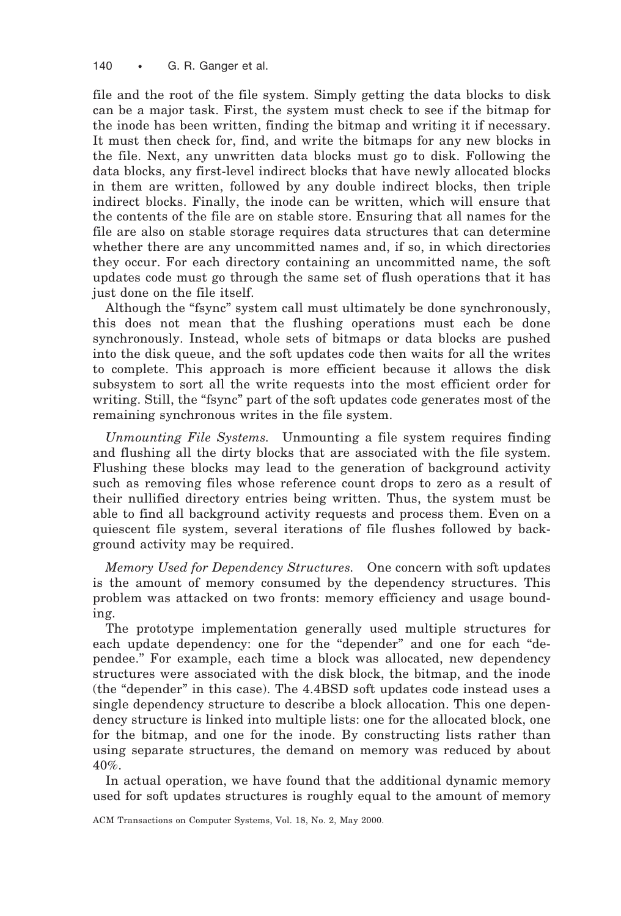file and the root of the file system. Simply getting the data blocks to disk can be a major task. First, the system must check to see if the bitmap for the inode has been written, finding the bitmap and writing it if necessary. It must then check for, find, and write the bitmaps for any new blocks in the file. Next, any unwritten data blocks must go to disk. Following the data blocks, any first-level indirect blocks that have newly allocated blocks in them are written, followed by any double indirect blocks, then triple indirect blocks. Finally, the inode can be written, which will ensure that the contents of the file are on stable store. Ensuring that all names for the file are also on stable storage requires data structures that can determine whether there are any uncommitted names and, if so, in which directories they occur. For each directory containing an uncommitted name, the soft updates code must go through the same set of flush operations that it has just done on the file itself.

Although the "fsync" system call must ultimately be done synchronously, this does not mean that the flushing operations must each be done synchronously. Instead, whole sets of bitmaps or data blocks are pushed into the disk queue, and the soft updates code then waits for all the writes to complete. This approach is more efficient because it allows the disk subsystem to sort all the write requests into the most efficient order for writing. Still, the "fsync" part of the soft updates code generates most of the remaining synchronous writes in the file system.

*Unmounting File Systems.* Unmounting a file system requires finding and flushing all the dirty blocks that are associated with the file system. Flushing these blocks may lead to the generation of background activity such as removing files whose reference count drops to zero as a result of their nullified directory entries being written. Thus, the system must be able to find all background activity requests and process them. Even on a quiescent file system, several iterations of file flushes followed by background activity may be required.

*Memory Used for Dependency Structures.* One concern with soft updates is the amount of memory consumed by the dependency structures. This problem was attacked on two fronts: memory efficiency and usage bounding.

The prototype implementation generally used multiple structures for each update dependency: one for the "depender" and one for each "dependee." For example, each time a block was allocated, new dependency structures were associated with the disk block, the bitmap, and the inode (the "depender" in this case). The 4.4BSD soft updates code instead uses a single dependency structure to describe a block allocation. This one dependency structure is linked into multiple lists: one for the allocated block, one for the bitmap, and one for the inode. By constructing lists rather than using separate structures, the demand on memory was reduced by about 40%.

In actual operation, we have found that the additional dynamic memory used for soft updates structures is roughly equal to the amount of memory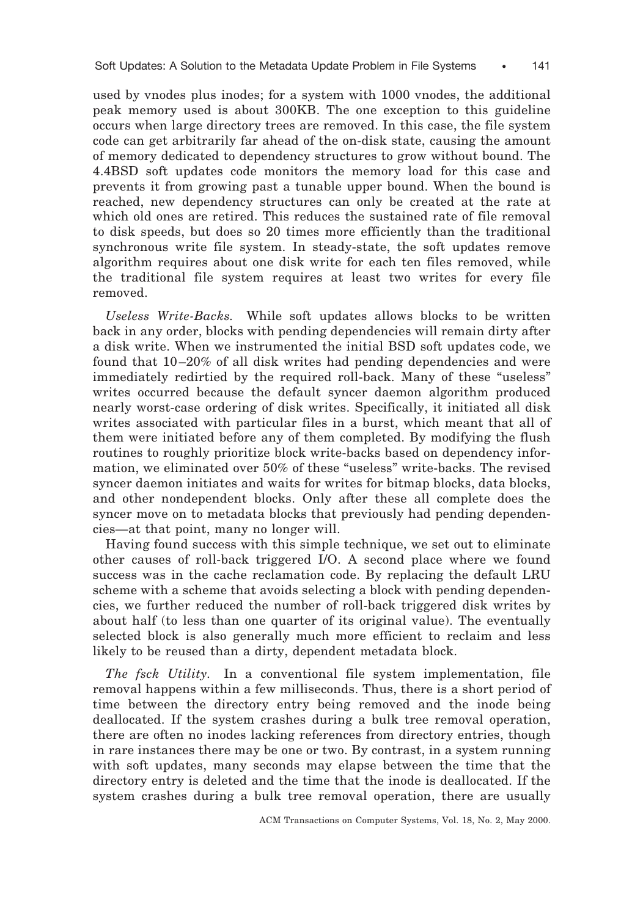used by vnodes plus inodes; for a system with 1000 vnodes, the additional peak memory used is about 300KB. The one exception to this guideline occurs when large directory trees are removed. In this case, the file system code can get arbitrarily far ahead of the on-disk state, causing the amount of memory dedicated to dependency structures to grow without bound. The 4.4BSD soft updates code monitors the memory load for this case and prevents it from growing past a tunable upper bound. When the bound is reached, new dependency structures can only be created at the rate at which old ones are retired. This reduces the sustained rate of file removal to disk speeds, but does so 20 times more efficiently than the traditional synchronous write file system. In steady-state, the soft updates remove algorithm requires about one disk write for each ten files removed, while the traditional file system requires at least two writes for every file removed.

*Useless Write-Backs.* While soft updates allows blocks to be written back in any order, blocks with pending dependencies will remain dirty after a disk write. When we instrumented the initial BSD soft updates code, we found that 10–20% of all disk writes had pending dependencies and were immediately redirtied by the required roll-back. Many of these "useless" writes occurred because the default syncer daemon algorithm produced nearly worst-case ordering of disk writes. Specifically, it initiated all disk writes associated with particular files in a burst, which meant that all of them were initiated before any of them completed. By modifying the flush routines to roughly prioritize block write-backs based on dependency information, we eliminated over 50% of these "useless" write-backs. The revised syncer daemon initiates and waits for writes for bitmap blocks, data blocks, and other nondependent blocks. Only after these all complete does the syncer move on to metadata blocks that previously had pending dependencies—at that point, many no longer will.

Having found success with this simple technique, we set out to eliminate other causes of roll-back triggered I/O. A second place where we found success was in the cache reclamation code. By replacing the default LRU scheme with a scheme that avoids selecting a block with pending dependencies, we further reduced the number of roll-back triggered disk writes by about half (to less than one quarter of its original value). The eventually selected block is also generally much more efficient to reclaim and less likely to be reused than a dirty, dependent metadata block.

*The fsck Utility.* In a conventional file system implementation, file removal happens within a few milliseconds. Thus, there is a short period of time between the directory entry being removed and the inode being deallocated. If the system crashes during a bulk tree removal operation, there are often no inodes lacking references from directory entries, though in rare instances there may be one or two. By contrast, in a system running with soft updates, many seconds may elapse between the time that the directory entry is deleted and the time that the inode is deallocated. If the system crashes during a bulk tree removal operation, there are usually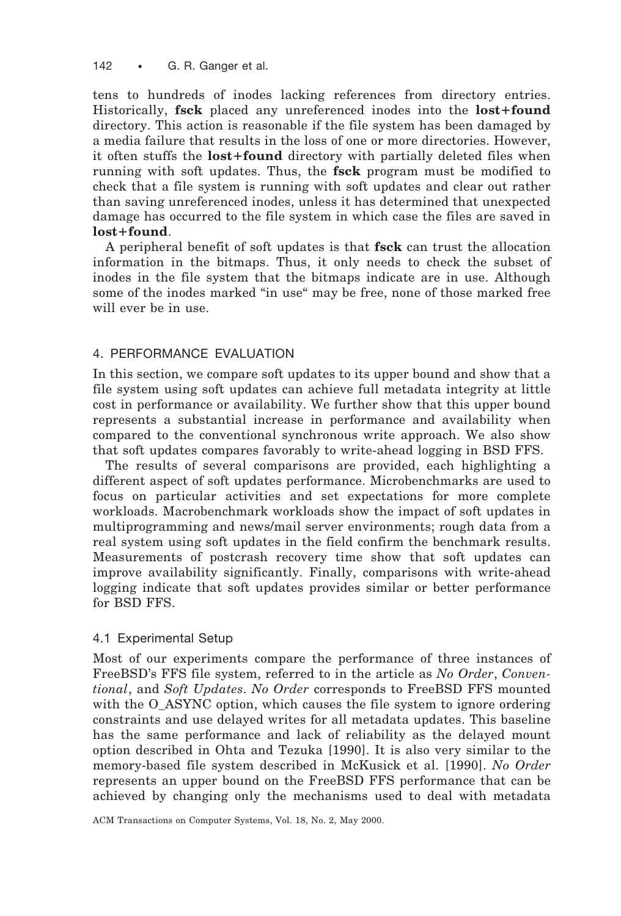tens to hundreds of inodes lacking references from directory entries. Historically, fsck placed any unreferenced inodes into the lost+found directory. This action is reasonable if the file system has been damaged by a media failure that results in the loss of one or more directories. However, it often stuffs the **lost+found** directory with partially deleted files when running with soft updates. Thus, the **fsck** program must be modified to check that a file system is running with soft updates and clear out rather than saving unreferenced inodes, unless it has determined that unexpected damage has occurred to the file system in which case the files are saved in  $lost + found$ .

A peripheral benefit of soft updates is that **fsck** can trust the allocation information in the bitmaps. Thus, it only needs to check the subset of inodes in the file system that the bitmaps indicate are in use. Although some of the inodes marked "in use" may be free, none of those marked free will ever be in use.

### 4. PERFORMANCE EVALUATION

In this section, we compare soft updates to its upper bound and show that a file system using soft updates can achieve full metadata integrity at little cost in performance or availability. We further show that this upper bound represents a substantial increase in performance and availability when compared to the conventional synchronous write approach. We also show that soft updates compares favorably to write-ahead logging in BSD FFS.

The results of several comparisons are provided, each highlighting a different aspect of soft updates performance. Microbenchmarks are used to focus on particular activities and set expectations for more complete workloads. Macrobenchmark workloads show the impact of soft updates in multiprogramming and news/mail server environments; rough data from a real system using soft updates in the field confirm the benchmark results. Measurements of postcrash recovery time show that soft updates can improve availability significantly. Finally, comparisons with write-ahead logging indicate that soft updates provides similar or better performance for BSD FFS.

#### 4.1 Experimental Setup

Most of our experiments compare the performance of three instances of FreeBSD's FFS file system, referred to in the article as *No Order*, *Conventional*, and *Soft Updates*. *No Order* corresponds to FreeBSD FFS mounted with the O\_ASYNC option, which causes the file system to ignore ordering constraints and use delayed writes for all metadata updates. This baseline has the same performance and lack of reliability as the delayed mount option described in Ohta and Tezuka [1990]. It is also very similar to the memory-based file system described in McKusick et al. [1990]. *No Order* represents an upper bound on the FreeBSD FFS performance that can be achieved by changing only the mechanisms used to deal with metadata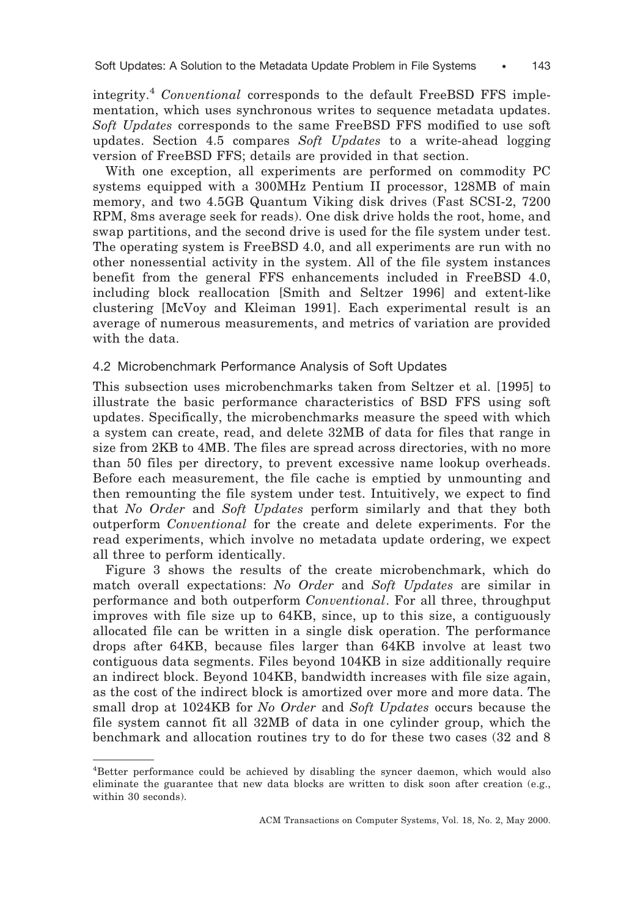integrity.<sup>4</sup> *Conventional* corresponds to the default FreeBSD FFS implementation, which uses synchronous writes to sequence metadata updates. *Soft Updates* corresponds to the same FreeBSD FFS modified to use soft updates. Section 4.5 compares *Soft Updates* to a write-ahead logging version of FreeBSD FFS; details are provided in that section.

With one exception, all experiments are performed on commodity PC systems equipped with a 300MHz Pentium II processor, 128MB of main memory, and two 4.5GB Quantum Viking disk drives (Fast SCSI-2, 7200 RPM, 8ms average seek for reads). One disk drive holds the root, home, and swap partitions, and the second drive is used for the file system under test. The operating system is FreeBSD 4.0, and all experiments are run with no other nonessential activity in the system. All of the file system instances benefit from the general FFS enhancements included in FreeBSD 4.0, including block reallocation [Smith and Seltzer 1996] and extent-like clustering [McVoy and Kleiman 1991]. Each experimental result is an average of numerous measurements, and metrics of variation are provided with the data.

### 4.2 Microbenchmark Performance Analysis of Soft Updates

This subsection uses microbenchmarks taken from Seltzer et al. [1995] to illustrate the basic performance characteristics of BSD FFS using soft updates. Specifically, the microbenchmarks measure the speed with which a system can create, read, and delete 32MB of data for files that range in size from 2KB to 4MB. The files are spread across directories, with no more than 50 files per directory, to prevent excessive name lookup overheads. Before each measurement, the file cache is emptied by unmounting and then remounting the file system under test. Intuitively, we expect to find that *No Order* and *Soft Updates* perform similarly and that they both outperform *Conventional* for the create and delete experiments. For the read experiments, which involve no metadata update ordering, we expect all three to perform identically.

Figure 3 shows the results of the create microbenchmark, which do match overall expectations: *No Order* and *Soft Updates* are similar in performance and both outperform *Conventional*. For all three, throughput improves with file size up to 64KB, since, up to this size, a contiguously allocated file can be written in a single disk operation. The performance drops after 64KB, because files larger than 64KB involve at least two contiguous data segments. Files beyond 104KB in size additionally require an indirect block. Beyond 104KB, bandwidth increases with file size again, as the cost of the indirect block is amortized over more and more data. The small drop at 1024KB for *No Order* and *Soft Updates* occurs because the file system cannot fit all 32MB of data in one cylinder group, which the benchmark and allocation routines try to do for these two cases (32 and 8

<sup>4</sup> Better performance could be achieved by disabling the syncer daemon, which would also eliminate the guarantee that new data blocks are written to disk soon after creation (e.g., within 30 seconds).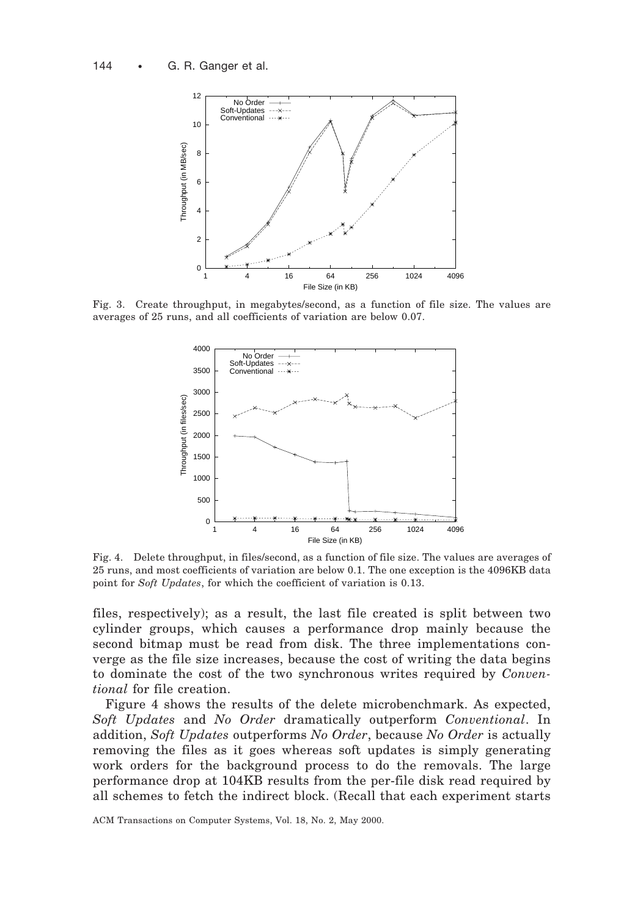

Fig. 3. Create throughput, in megabytes/second, as a function of file size. The values are averages of 25 runs, and all coefficients of variation are below 0.07.



Fig. 4. Delete throughput, in files/second, as a function of file size. The values are averages of 25 runs, and most coefficients of variation are below 0.1. The one exception is the 4096KB data point for *Soft Updates*, for which the coefficient of variation is 0.13.

files, respectively); as a result, the last file created is split between two cylinder groups, which causes a performance drop mainly because the second bitmap must be read from disk. The three implementations converge as the file size increases, because the cost of writing the data begins to dominate the cost of the two synchronous writes required by *Conventional* for file creation.

Figure 4 shows the results of the delete microbenchmark. As expected, *Soft Updates* and *No Order* dramatically outperform *Conventional*. In addition, *Soft Updates* outperforms *No Order*, because *No Order* is actually removing the files as it goes whereas soft updates is simply generating work orders for the background process to do the removals. The large performance drop at 104KB results from the per-file disk read required by all schemes to fetch the indirect block. (Recall that each experiment starts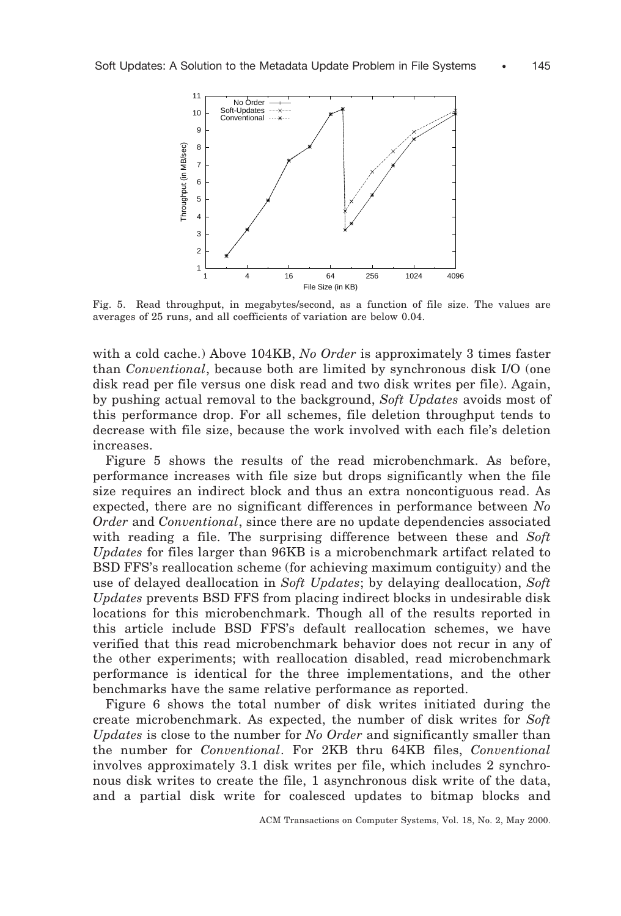

Fig. 5. Read throughput, in megabytes/second, as a function of file size. The values are averages of 25 runs, and all coefficients of variation are below 0.04.

with a cold cache.) Above 104KB, *No Order* is approximately 3 times faster than *Conventional*, because both are limited by synchronous disk I/O (one disk read per file versus one disk read and two disk writes per file). Again, by pushing actual removal to the background, *Soft Updates* avoids most of this performance drop. For all schemes, file deletion throughput tends to decrease with file size, because the work involved with each file's deletion increases.

Figure 5 shows the results of the read microbenchmark. As before, performance increases with file size but drops significantly when the file size requires an indirect block and thus an extra noncontiguous read. As expected, there are no significant differences in performance between *No Order* and *Conventional*, since there are no update dependencies associated with reading a file. The surprising difference between these and *Soft Updates* for files larger than 96KB is a microbenchmark artifact related to BSD FFS's reallocation scheme (for achieving maximum contiguity) and the use of delayed deallocation in *Soft Updates*; by delaying deallocation, *Soft Updates* prevents BSD FFS from placing indirect blocks in undesirable disk locations for this microbenchmark. Though all of the results reported in this article include BSD FFS's default reallocation schemes, we have verified that this read microbenchmark behavior does not recur in any of the other experiments; with reallocation disabled, read microbenchmark performance is identical for the three implementations, and the other benchmarks have the same relative performance as reported.

Figure 6 shows the total number of disk writes initiated during the create microbenchmark. As expected, the number of disk writes for *Soft Updates* is close to the number for *No Order* and significantly smaller than the number for *Conventional*. For 2KB thru 64KB files, *Conventional* involves approximately 3.1 disk writes per file, which includes 2 synchronous disk writes to create the file, 1 asynchronous disk write of the data, and a partial disk write for coalesced updates to bitmap blocks and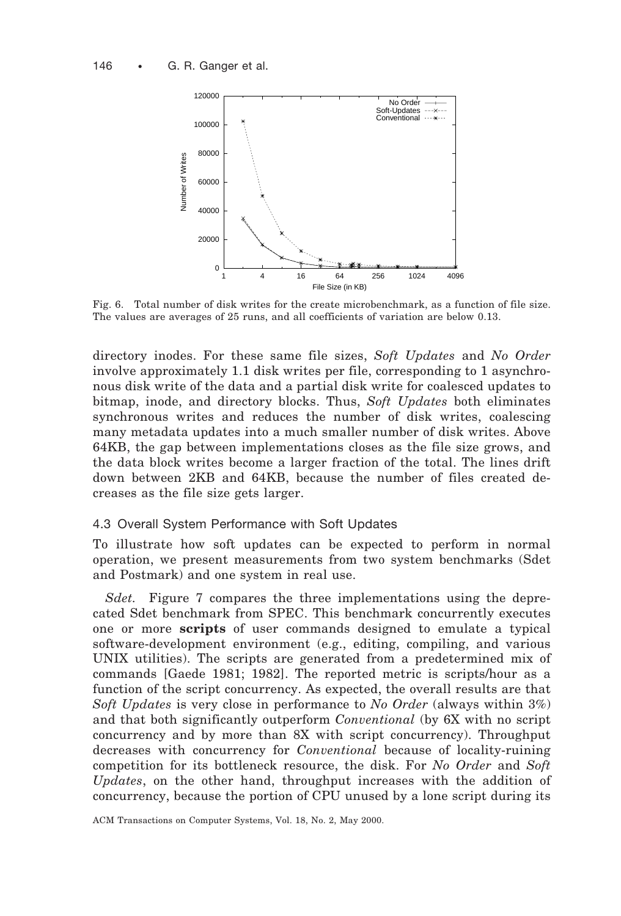

Fig. 6. Total number of disk writes for the create microbenchmark, as a function of file size. The values are averages of 25 runs, and all coefficients of variation are below 0.13.

directory inodes. For these same file sizes, *Soft Updates* and *No Order* involve approximately 1.1 disk writes per file, corresponding to 1 asynchronous disk write of the data and a partial disk write for coalesced updates to bitmap, inode, and directory blocks. Thus, *Soft Updates* both eliminates synchronous writes and reduces the number of disk writes, coalescing many metadata updates into a much smaller number of disk writes. Above 64KB, the gap between implementations closes as the file size grows, and the data block writes become a larger fraction of the total. The lines drift down between 2KB and 64KB, because the number of files created decreases as the file size gets larger.

#### 4.3 Overall System Performance with Soft Updates

To illustrate how soft updates can be expected to perform in normal operation, we present measurements from two system benchmarks (Sdet and Postmark) and one system in real use.

*Sdet.* Figure 7 compares the three implementations using the deprecated Sdet benchmark from SPEC. This benchmark concurrently executes one or more **scripts** of user commands designed to emulate a typical software-development environment (e.g., editing, compiling, and various UNIX utilities). The scripts are generated from a predetermined mix of commands [Gaede 1981; 1982]. The reported metric is scripts/hour as a function of the script concurrency. As expected, the overall results are that *Soft Updates* is very close in performance to *No Order* (always within 3%) and that both significantly outperform *Conventional* (by 6X with no script concurrency and by more than 8X with script concurrency). Throughput decreases with concurrency for *Conventional* because of locality-ruining competition for its bottleneck resource, the disk. For *No Order* and *Soft Updates*, on the other hand, throughput increases with the addition of concurrency, because the portion of CPU unused by a lone script during its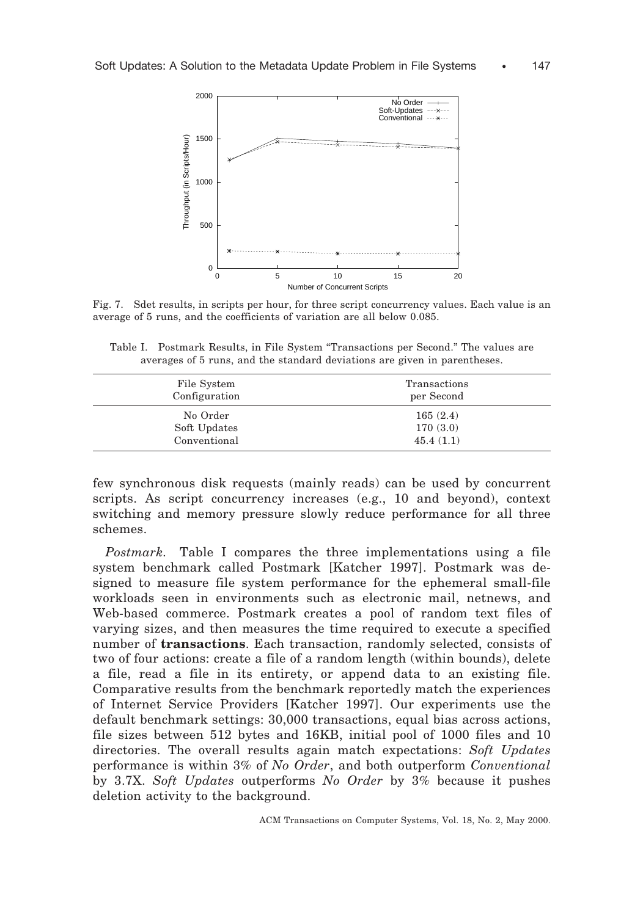

Fig. 7. Sdet results, in scripts per hour, for three script concurrency values. Each value is an average of 5 runs, and the coefficients of variation are all below 0.085.

Table I. Postmark Results, in File System "Transactions per Second." The values are averages of 5 runs, and the standard deviations are given in parentheses.

| File System   | Transactions |
|---------------|--------------|
| Configuration | per Second   |
| No Order      | 165(2.4)     |
| Soft Updates  | 170(3.0)     |
| Conventional  | 45.4(1.1)    |

few synchronous disk requests (mainly reads) can be used by concurrent scripts. As script concurrency increases (e.g., 10 and beyond), context switching and memory pressure slowly reduce performance for all three schemes.

*Postmark.* Table I compares the three implementations using a file system benchmark called Postmark [Katcher 1997]. Postmark was designed to measure file system performance for the ephemeral small-file workloads seen in environments such as electronic mail, netnews, and Web-based commerce. Postmark creates a pool of random text files of varying sizes, and then measures the time required to execute a specified number of **transactions**. Each transaction, randomly selected, consists of two of four actions: create a file of a random length (within bounds), delete a file, read a file in its entirety, or append data to an existing file. Comparative results from the benchmark reportedly match the experiences of Internet Service Providers [Katcher 1997]. Our experiments use the default benchmark settings: 30,000 transactions, equal bias across actions, file sizes between 512 bytes and 16KB, initial pool of 1000 files and 10 directories. The overall results again match expectations: *Soft Updates* performance is within 3% of *No Order*, and both outperform *Conventional* by 3.7X. *Soft Updates* outperforms *No Order* by 3% because it pushes deletion activity to the background.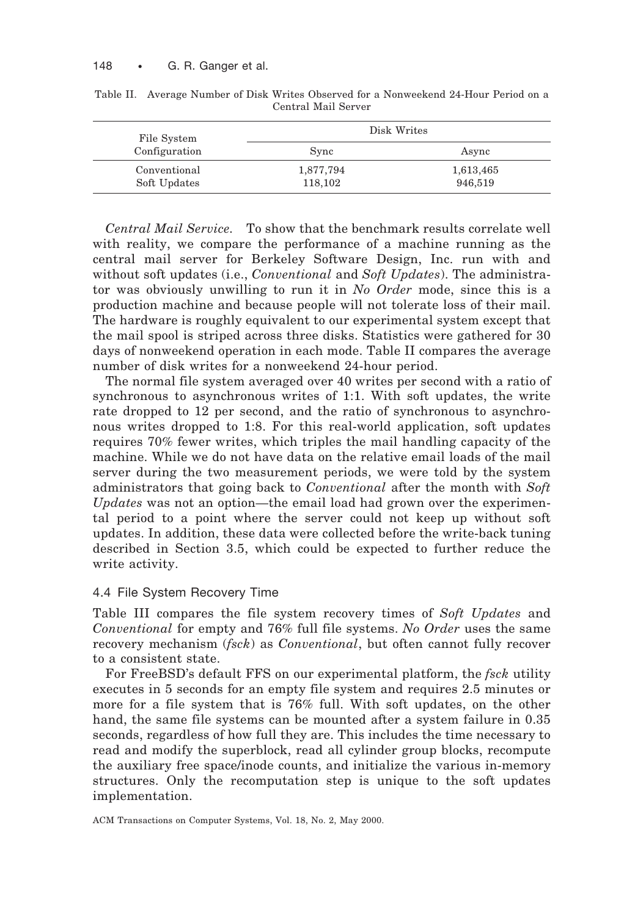| Disk Writes          |                      |  |
|----------------------|----------------------|--|
| Sync                 | Async                |  |
| 1,877,794<br>118,102 | 1,613,465<br>946,519 |  |
|                      |                      |  |

Table II. Average Number of Disk Writes Observed for a Nonweekend 24-Hour Period on a Central Mail Server

*Central Mail Service.* To show that the benchmark results correlate well with reality, we compare the performance of a machine running as the central mail server for Berkeley Software Design, Inc. run with and without soft updates (i.e., *Conventional* and *Soft Updates*). The administrator was obviously unwilling to run it in *No Order* mode, since this is a production machine and because people will not tolerate loss of their mail. The hardware is roughly equivalent to our experimental system except that the mail spool is striped across three disks. Statistics were gathered for 30 days of nonweekend operation in each mode. Table II compares the average number of disk writes for a nonweekend 24-hour period.

The normal file system averaged over 40 writes per second with a ratio of synchronous to asynchronous writes of 1:1. With soft updates, the write rate dropped to 12 per second, and the ratio of synchronous to asynchronous writes dropped to 1:8. For this real-world application, soft updates requires 70% fewer writes, which triples the mail handling capacity of the machine. While we do not have data on the relative email loads of the mail server during the two measurement periods, we were told by the system administrators that going back to *Conventional* after the month with *Soft Updates* was not an option—the email load had grown over the experimental period to a point where the server could not keep up without soft updates. In addition, these data were collected before the write-back tuning described in Section 3.5, which could be expected to further reduce the write activity.

#### 4.4 File System Recovery Time

Table III compares the file system recovery times of *Soft Updates* and *Conventional* for empty and 76% full file systems. *No Order* uses the same recovery mechanism (*fsck*) as *Conventional*, but often cannot fully recover to a consistent state.

For FreeBSD's default FFS on our experimental platform, the *fsck* utility executes in 5 seconds for an empty file system and requires 2.5 minutes or more for a file system that is 76% full. With soft updates, on the other hand, the same file systems can be mounted after a system failure in 0.35 seconds, regardless of how full they are. This includes the time necessary to read and modify the superblock, read all cylinder group blocks, recompute the auxiliary free space/inode counts, and initialize the various in-memory structures. Only the recomputation step is unique to the soft updates implementation.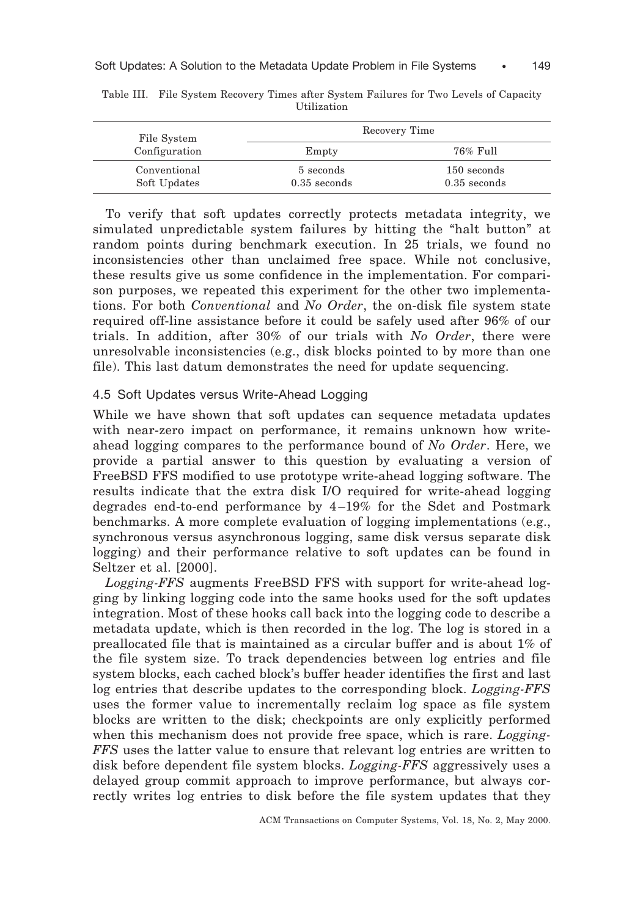| File System                  | Recovery Time               |                               |  |
|------------------------------|-----------------------------|-------------------------------|--|
| Configuration                | Empty                       | 76% Full                      |  |
| Conventional<br>Soft Updates | 5 seconds<br>$0.35$ seconds | 150 seconds<br>$0.35$ seconds |  |

Table III. File System Recovery Times after System Failures for Two Levels of Capacity Utilization

To verify that soft updates correctly protects metadata integrity, we simulated unpredictable system failures by hitting the "halt button" at random points during benchmark execution. In 25 trials, we found no inconsistencies other than unclaimed free space. While not conclusive, these results give us some confidence in the implementation. For comparison purposes, we repeated this experiment for the other two implementations. For both *Conventional* and *No Order*, the on-disk file system state required off-line assistance before it could be safely used after 96% of our trials. In addition, after 30% of our trials with *No Order*, there were unresolvable inconsistencies (e.g., disk blocks pointed to by more than one file). This last datum demonstrates the need for update sequencing.

#### 4.5 Soft Updates versus Write-Ahead Logging

While we have shown that soft updates can sequence metadata updates with near-zero impact on performance, it remains unknown how writeahead logging compares to the performance bound of *No Order*. Here, we provide a partial answer to this question by evaluating a version of FreeBSD FFS modified to use prototype write-ahead logging software. The results indicate that the extra disk I/O required for write-ahead logging degrades end-to-end performance by 4–19% for the Sdet and Postmark benchmarks. A more complete evaluation of logging implementations (e.g., synchronous versus asynchronous logging, same disk versus separate disk logging) and their performance relative to soft updates can be found in Seltzer et al. [2000].

*Logging-FFS* augments FreeBSD FFS with support for write-ahead logging by linking logging code into the same hooks used for the soft updates integration. Most of these hooks call back into the logging code to describe a metadata update, which is then recorded in the log. The log is stored in a preallocated file that is maintained as a circular buffer and is about 1% of the file system size. To track dependencies between log entries and file system blocks, each cached block's buffer header identifies the first and last log entries that describe updates to the corresponding block. *Logging-FFS* uses the former value to incrementally reclaim log space as file system blocks are written to the disk; checkpoints are only explicitly performed when this mechanism does not provide free space, which is rare. *Logging-FFS* uses the latter value to ensure that relevant log entries are written to disk before dependent file system blocks. *Logging-FFS* aggressively uses a delayed group commit approach to improve performance, but always correctly writes log entries to disk before the file system updates that they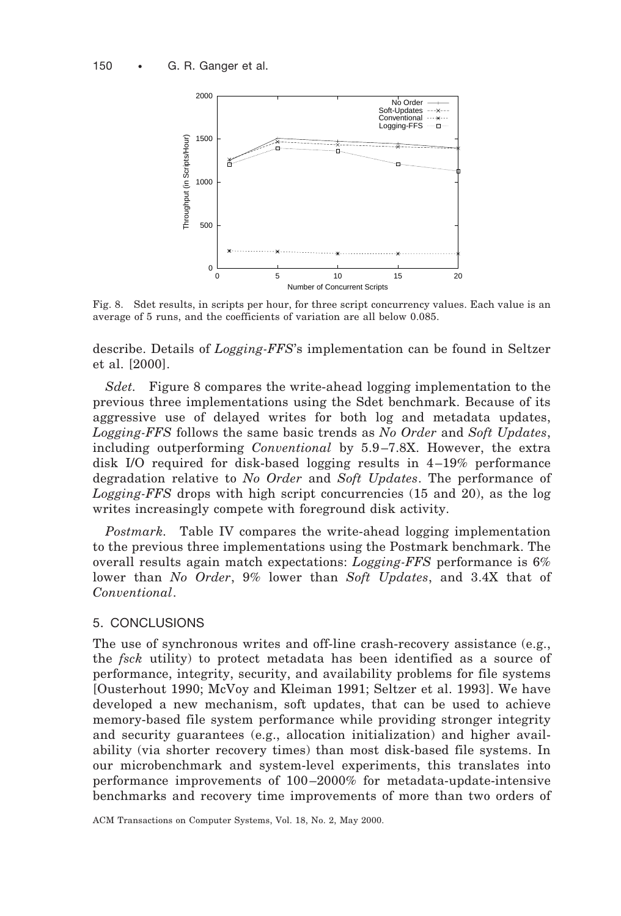

Fig. 8. Sdet results, in scripts per hour, for three script concurrency values. Each value is an average of 5 runs, and the coefficients of variation are all below 0.085.

describe. Details of *Logging-FFS*'s implementation can be found in Seltzer et al. [2000].

*Sdet.* Figure 8 compares the write-ahead logging implementation to the previous three implementations using the Sdet benchmark. Because of its aggressive use of delayed writes for both log and metadata updates, *Logging-FFS* follows the same basic trends as *No Order* and *Soft Updates*, including outperforming *Conventional* by 5.9–7.8X. However, the extra disk I/O required for disk-based logging results in 4–19% performance degradation relative to *No Order* and *Soft Updates*. The performance of *Logging-FFS* drops with high script concurrencies (15 and 20), as the log writes increasingly compete with foreground disk activity.

*Postmark.* Table IV compares the write-ahead logging implementation to the previous three implementations using the Postmark benchmark. The overall results again match expectations: *Logging-FFS* performance is 6% lower than *No Order*, 9% lower than *Soft Updates*, and 3.4X that of *Conventional*.

#### 5. CONCLUSIONS

The use of synchronous writes and off-line crash-recovery assistance (e.g., the *fsck* utility) to protect metadata has been identified as a source of performance, integrity, security, and availability problems for file systems [Ousterhout 1990; McVoy and Kleiman 1991; Seltzer et al. 1993]. We have developed a new mechanism, soft updates, that can be used to achieve memory-based file system performance while providing stronger integrity and security guarantees (e.g., allocation initialization) and higher availability (via shorter recovery times) than most disk-based file systems. In our microbenchmark and system-level experiments, this translates into performance improvements of 100–2000% for metadata-update-intensive benchmarks and recovery time improvements of more than two orders of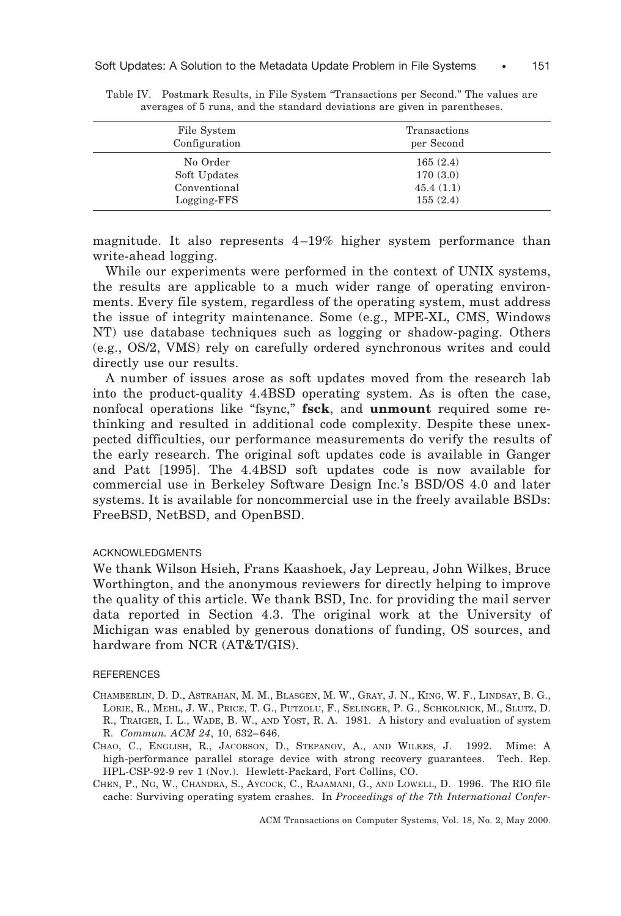| File System   | Transactions |
|---------------|--------------|
| Configuration | per Second   |
| No Order      | 165(2.4)     |
| Soft Updates  | 170(3.0)     |
| Conventional  | 45.4(1.1)    |
| Logging-FFS   | 155(2.4)     |

Table IV. Postmark Results, in File System "Transactions per Second." The values are averages of 5 runs, and the standard deviations are given in parentheses.

magnitude. It also represents 4–19% higher system performance than write-ahead logging.

While our experiments were performed in the context of UNIX systems, the results are applicable to a much wider range of operating environments. Every file system, regardless of the operating system, must address the issue of integrity maintenance. Some (e.g., MPE-XL, CMS, Windows NT) use database techniques such as logging or shadow-paging. Others (e.g., OS/2, VMS) rely on carefully ordered synchronous writes and could directly use our results.

A number of issues arose as soft updates moved from the research lab into the product-quality 4.4BSD operating system. As is often the case, nonfocal operations like "fsync," **fsck**, and **unmount** required some rethinking and resulted in additional code complexity. Despite these unexpected difficulties, our performance measurements do verify the results of the early research. The original soft updates code is available in Ganger and Patt [1995]. The 4.4BSD soft updates code is now available for commercial use in Berkeley Software Design Inc.'s BSD/OS 4.0 and later systems. It is available for noncommercial use in the freely available BSDs: FreeBSD, NetBSD, and OpenBSD.

#### ACKNOWLEDGMENTS

We thank Wilson Hsieh, Frans Kaashoek, Jay Lepreau, John Wilkes, Bruce Worthington, and the anonymous reviewers for directly helping to improve the quality of this article. We thank BSD, Inc. for providing the mail server data reported in Section 4.3. The original work at the University of Michigan was enabled by generous donations of funding, OS sources, and hardware from NCR (AT&T/GIS).

#### **REFERENCES**

- CHAMBERLIN, D. D., ASTRAHAN, M. M., BLASGEN, M. W., GRAY, J. N., KING, W. F., LINDSAY, B. G., LORIE, R., MEHL, J. W., PRICE, T. G., PUTZOLU, F., SELINGER, P. G., SCHKOLNICK, M., SLUTZ, D. R., TRAIGER, I. L., WADE, B. W., AND YOST, R. A. 1981. A history and evaluation of system R. *Commun. ACM 24*, 10, 632–646.
- CHAO, C., ENGLISH, R., JACOBSON, D., STEPANOV, A., AND WILKES, J. 1992. Mime: A high-performance parallel storage device with strong recovery guarantees. Tech. Rep. HPL-CSP-92-9 rev 1 (Nov.). Hewlett-Packard, Fort Collins, CO.
- CHEN, P., NG, W., CHANDRA, S., AYCOCK, C., RAJAMANI, G., AND LOWELL, D. 1996. The RIO file cache: Surviving operating system crashes. In *Proceedings of the 7th International Confer-*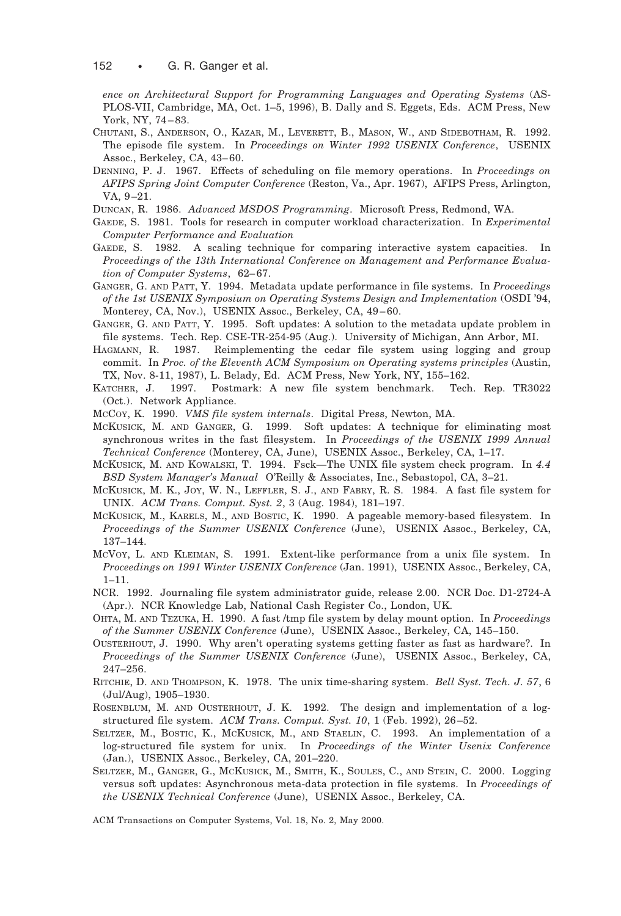*ence on Architectural Support for Programming Languages and Operating Systems* (AS-PLOS-VII, Cambridge, MA, Oct. 1–5, 1996), B. Dally and S. Eggets, Eds. ACM Press, New York, NY, 74–83.

- CHUTANI, S., ANDERSON, O., KAZAR, M., LEVERETT, B., MASON, W., AND SIDEBOTHAM, R. 1992. The episode file system. In *Proceedings on Winter 1992 USENIX Conference*, USENIX Assoc., Berkeley, CA, 43–60.
- DENNING, P. J. 1967. Effects of scheduling on file memory operations. In *Proceedings on AFIPS Spring Joint Computer Conference* (Reston, Va., Apr. 1967), AFIPS Press, Arlington, VA, 9–21.
- DUNCAN, R. 1986. *Advanced MSDOS Programming*. Microsoft Press, Redmond, WA.
- GAEDE, S. 1981. Tools for research in computer workload characterization. In *Experimental Computer Performance and Evaluation*
- GAEDE, S. 1982. A scaling technique for comparing interactive system capacities. In *Proceedings of the 13th International Conference on Management and Performance Evaluation of Computer Systems*, 62–67.
- GANGER, G. AND PATT, Y. 1994. Metadata update performance in file systems. In *Proceedings of the 1st USENIX Symposium on Operating Systems Design and Implementation* (OSDI '94, Monterey, CA, Nov.), USENIX Assoc., Berkeley, CA, 49–60.
- GANGER, G. AND PATT, Y. 1995. Soft updates: A solution to the metadata update problem in file systems. Tech. Rep. CSE-TR-254-95 (Aug.). University of Michigan, Ann Arbor, MI.
- HAGMANN, R. 1987. Reimplementing the cedar file system using logging and group commit. In *Proc. of the Eleventh ACM Symposium on Operating systems principles* (Austin, TX, Nov. 8-11, 1987), L. Belady, Ed. ACM Press, New York, NY, 155–162.
- KATCHER, J. 1997. Postmark: A new file system benchmark. Tech. Rep. TR3022 (Oct.). Network Appliance.
- MCCOY, K. 1990. *VMS file system internals*. Digital Press, Newton, MA.
- MCKUSICK, M. AND GANGER, G. 1999. Soft updates: A technique for eliminating most synchronous writes in the fast filesystem. In *Proceedings of the USENIX 1999 Annual Technical Conference* (Monterey, CA, June), USENIX Assoc., Berkeley, CA, 1–17.
- MCKUSICK, M. AND KOWALSKI, T. 1994. Fsck—The UNIX file system check program. In *4.4 BSD System Manager's Manual* O'Reilly & Associates, Inc., Sebastopol, CA, 3–21.
- MCKUSICK, M. K., JOY, W. N., LEFFLER, S. J., AND FABRY, R. S. 1984. A fast file system for UNIX. *ACM Trans. Comput. Syst. 2*, 3 (Aug. 1984), 181–197.
- MCKUSICK, M., KARELS, M., AND BOSTIC, K. 1990. A pageable memory-based filesystem. In *Proceedings of the Summer USENIX Conference* (June), USENIX Assoc., Berkeley, CA, 137–144.
- MCVOY, L. AND KLEIMAN, S. 1991. Extent-like performance from a unix file system. In *Proceedings on 1991 Winter USENIX Conference* (Jan. 1991), USENIX Assoc., Berkeley, CA, 1–11.
- NCR. 1992. Journaling file system administrator guide, release 2.00. NCR Doc. D1-2724-A (Apr.). NCR Knowledge Lab, National Cash Register Co., London, UK.
- OHTA, M. AND TEZUKA, H. 1990. A fast /tmp file system by delay mount option. In *Proceedings of the Summer USENIX Conference* (June), USENIX Assoc., Berkeley, CA, 145–150.
- OUSTERHOUT, J. 1990. Why aren't operating systems getting faster as fast as hardware?. In *Proceedings of the Summer USENIX Conference* (June), USENIX Assoc., Berkeley, CA, 247–256.
- RITCHIE, D. AND THOMPSON, K. 1978. The unix time-sharing system. *Bell Syst. Tech. J. 57*, 6 (Jul/Aug), 1905–1930.
- ROSENBLUM, M. AND OUSTERHOUT, J. K. 1992. The design and implementation of a logstructured file system. *ACM Trans. Comput. Syst. 10*, 1 (Feb. 1992), 26–52.
- SELTZER, M., BOSTIC, K., MCKUSICK, M., AND STAELIN, C. 1993. An implementation of a log-structured file system for unix. In *Proceedings of the Winter Usenix Conference* (Jan.), USENIX Assoc., Berkeley, CA, 201–220.
- SELTZER, M., GANGER, G., MCKUSICK, M., SMITH, K., SOULES, C., AND STEIN, C. 2000. Logging versus soft updates: Asynchronous meta-data protection in file systems. In *Proceedings of the USENIX Technical Conference* (June), USENIX Assoc., Berkeley, CA.